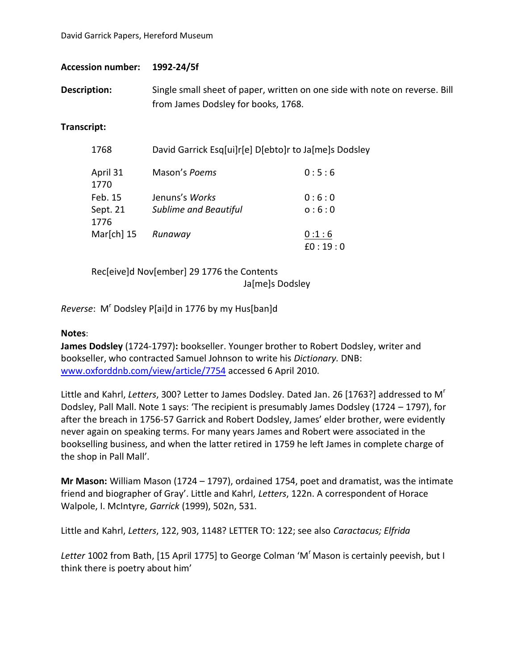| <b>Accession number:</b> | 1992-24/5f |
|--------------------------|------------|
|--------------------------|------------|

**Description:** Single small sheet of paper, written on one side with note on reverse. Bill from James Dodsley for books, 1768.

## **Transcript:**

| 1768             | David Garrick Esg[ui]r[e] D[ebto]r to Ja[me]s Dodsley |         |  |
|------------------|-------------------------------------------------------|---------|--|
| April 31<br>1770 | Mason's Poems                                         | 0:5:6   |  |
| Feb. 15          | Jenuns's <i>Works</i>                                 | 0:6:0   |  |
| Sept. 21         | <b>Sublime and Beautiful</b>                          | 0:6:0   |  |
| 1776             |                                                       |         |  |
| Mar $[ch]$ 15    | Runaway                                               | 0:1:6   |  |
|                  |                                                       | f0:19:0 |  |

Rec[eive]d Nov[ember] 29 1776 the Contents Ja[me]s Dodsley

Reverse: M<sup>r</sup> Dodsley P[ai]d in 1776 by my Hus[ban]d

## **Notes**:

**James Dodsley** (1724-1797)**:** bookseller. Younger brother to Robert Dodsley, writer and bookseller, who contracted Samuel Johnson to write his *Dictionary.* DNB: [www.oxforddnb.com/view/article/7754](http://www.oxforddnb.com/view/article/7754) accessed 6 April 2010.

Little and Kahrl, *Letters*, 300? Letter to James Dodsley. Dated Jan. 26 [1763?] addressed to M<sup>r</sup> Dodsley, Pall Mall. Note 1 says: 'The recipient is presumably James Dodsley (1724 – 1797), for after the breach in 1756-57 Garrick and Robert Dodsley, James' elder brother, were evidently never again on speaking terms. For many years James and Robert were associated in the bookselling business, and when the latter retired in 1759 he left James in complete charge of the shop in Pall Mall'.

**Mr Mason:** William Mason (1724 – 1797), ordained 1754, poet and dramatist, was the intimate friend and biographer of Gray'. Little and Kahrl, *Letters*, 122n. A correspondent of Horace Walpole, I. McIntyre, *Garrick* (1999), 502n, 531.

Little and Kahrl, *Letters*, 122, 903, 1148? LETTER TO: 122; see also *Caractacus; Elfrida*

Letter 1002 from Bath, [15 April 1775] to George Colman 'M' Mason is certainly peevish, but I think there is poetry about him'